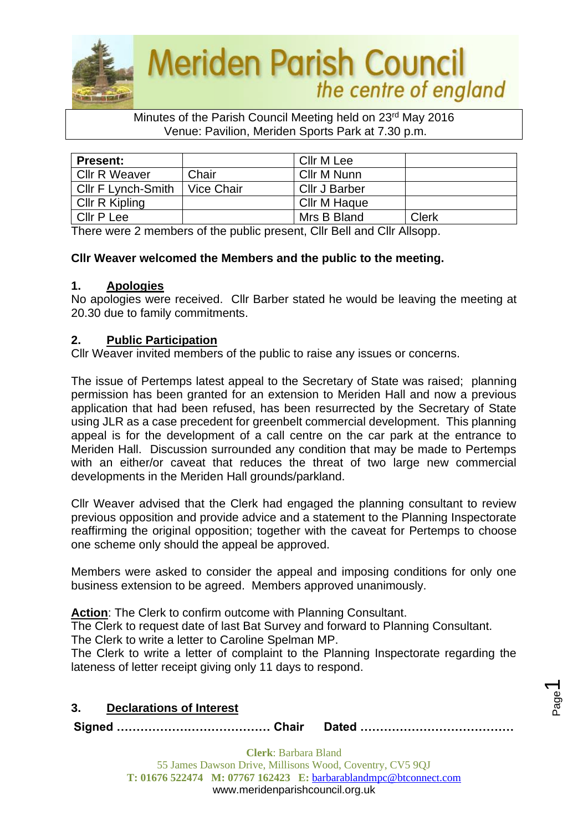

#### Minutes of the Parish Council Meeting held on 23rd May 2016 Venue: Pavilion, Meriden Sports Park at 7.30 p.m.

| <b>Present:</b>      |            | Cllr M Lee    |              |
|----------------------|------------|---------------|--------------|
| <b>Cllr R Weaver</b> | Chair      | Cllr M Nunn   |              |
| Cllr F Lynch-Smith   | Vice Chair | Cllr J Barber |              |
| Cllr R Kipling       |            | Cllr M Haque  |              |
| Cllr P Lee           |            | Mrs B Bland   | <b>Clerk</b> |

There were 2 members of the public present, Cllr Bell and Cllr Allsopp.

# **Cllr Weaver welcomed the Members and the public to the meeting.**

### **1. Apologies**

No apologies were received. Cllr Barber stated he would be leaving the meeting at 20.30 due to family commitments.

### **2. Public Participation**

Cllr Weaver invited members of the public to raise any issues or concerns.

The issue of Pertemps latest appeal to the Secretary of State was raised; planning permission has been granted for an extension to Meriden Hall and now a previous application that had been refused, has been resurrected by the Secretary of State using JLR as a case precedent for greenbelt commercial development. This planning appeal is for the development of a call centre on the car park at the entrance to Meriden Hall. Discussion surrounded any condition that may be made to Pertemps with an either/or caveat that reduces the threat of two large new commercial developments in the Meriden Hall grounds/parkland.

Cllr Weaver advised that the Clerk had engaged the planning consultant to review previous opposition and provide advice and a statement to the Planning Inspectorate reaffirming the original opposition; together with the caveat for Pertemps to choose one scheme only should the appeal be approved.

Members were asked to consider the appeal and imposing conditions for only one business extension to be agreed. Members approved unanimously.

**Action**: The Clerk to confirm outcome with Planning Consultant.

The Clerk to request date of last Bat Survey and forward to Planning Consultant.

The Clerk to write a letter to Caroline Spelman MP.

The Clerk to write a letter of complaint to the Planning Inspectorate regarding the lateness of letter receipt giving only 11 days to respond.

| 3. | <b>Declarations of Interest</b> |  |
|----|---------------------------------|--|
|    |                                 |  |

**Signed ………………………………… Chair Dated …………………………………**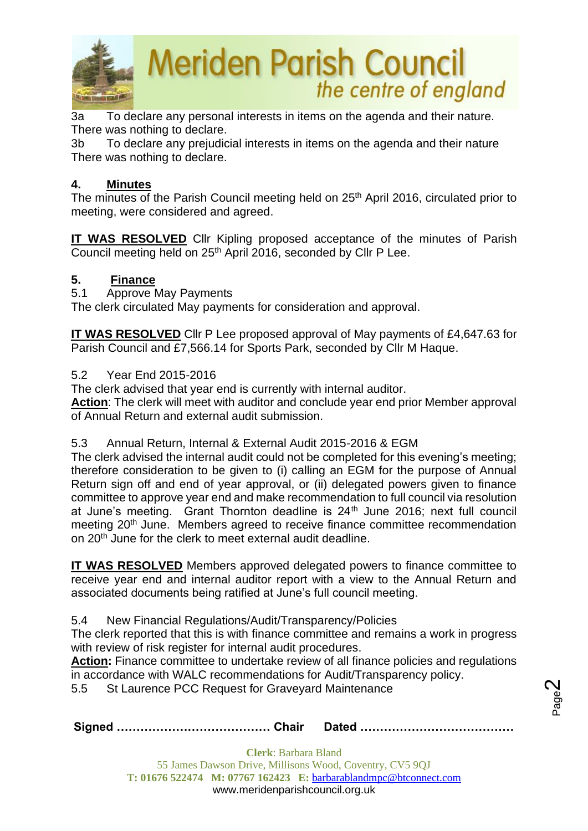

3a To declare any personal interests in items on the agenda and their nature. There was nothing to declare.

3b To declare any prejudicial interests in items on the agenda and their nature There was nothing to declare.

# **4. Minutes**

The minutes of the Parish Council meeting held on 25<sup>th</sup> April 2016, circulated prior to meeting, were considered and agreed.

**IT WAS RESOLVED** Cllr Kipling proposed acceptance of the minutes of Parish Council meeting held on 25<sup>th</sup> April 2016, seconded by Cllr P Lee.

# **5. Finance**

5.1 Approve May Payments

The clerk circulated May payments for consideration and approval.

**IT WAS RESOLVED** Cllr P Lee proposed approval of May payments of £4,647.63 for Parish Council and £7,566.14 for Sports Park, seconded by Cllr M Haque.

# 5.2 Year End 2015-2016

The clerk advised that year end is currently with internal auditor.

**Action**: The clerk will meet with auditor and conclude year end prior Member approval of Annual Return and external audit submission.

### 5.3 Annual Return, Internal & External Audit 2015-2016 & EGM

The clerk advised the internal audit could not be completed for this evening's meeting; therefore consideration to be given to (i) calling an EGM for the purpose of Annual Return sign off and end of year approval, or (ii) delegated powers given to finance committee to approve year end and make recommendation to full council via resolution at June's meeting. Grant Thornton deadline is 24<sup>th</sup> June 2016; next full council meeting 20<sup>th</sup> June. Members agreed to receive finance committee recommendation on 20<sup>th</sup> June for the clerk to meet external audit deadline.

**IT WAS RESOLVED** Members approved delegated powers to finance committee to receive year end and internal auditor report with a view to the Annual Return and associated documents being ratified at June's full council meeting.

5.4 New Financial Regulations/Audit/Transparency/Policies

The clerk reported that this is with finance committee and remains a work in progress with review of risk register for internal audit procedures.

Action: Finance committee to undertake review of all finance policies and regulations in accordance with WALC recommendations for Audit/Transparency policy.

5.5 St Laurence PCC Request for Graveyard Maintenance

|--|--|

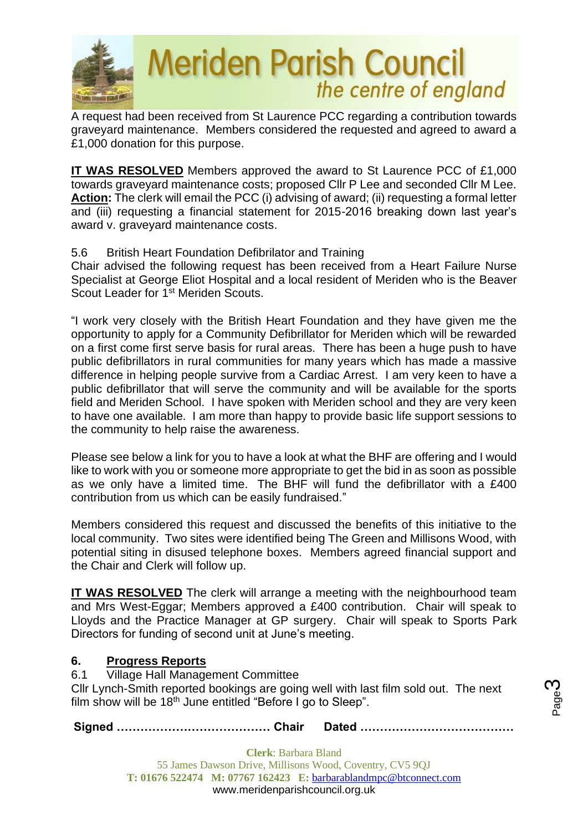

A request had been received from St Laurence PCC regarding a contribution towards graveyard maintenance. Members considered the requested and agreed to award a £1,000 donation for this purpose.

**IT WAS RESOLVED** Members approved the award to St Laurence PCC of £1,000 towards graveyard maintenance costs; proposed Cllr P Lee and seconded Cllr M Lee. **Action:** The clerk will email the PCC (i) advising of award; (ii) requesting a formal letter and (iii) requesting a financial statement for 2015-2016 breaking down last year's award v. graveyard maintenance costs.

# 5.6 British Heart Foundation Defibrilator and Training

Chair advised the following request has been received from a Heart Failure Nurse Specialist at George Eliot Hospital and a local resident of Meriden who is the Beaver Scout Leader for 1<sup>st</sup> Meriden Scouts.

"I work very closely with the British Heart Foundation and they have given me the opportunity to apply for a Community Defibrillator for Meriden which will be rewarded on a first come first serve basis for rural areas. There has been a huge push to have public defibrillators in rural communities for many years which has made a massive difference in helping people survive from a Cardiac Arrest. I am very keen to have a public defibrillator that will serve the community and will be available for the sports field and Meriden School. I have spoken with Meriden school and they are very keen to have one available. I am more than happy to provide basic life support sessions to the community to help raise the awareness.

Please see below a link for you to have a look at what the BHF are offering and I would like to work with you or someone more appropriate to get the bid in as soon as possible as we only have a limited time. The BHF will fund the defibrillator with a £400 contribution from us which can be easily fundraised."

Members considered this request and discussed the benefits of this initiative to the local community. Two sites were identified being The Green and Millisons Wood, with potential siting in disused telephone boxes. Members agreed financial support and the Chair and Clerk will follow up.

**IT WAS RESOLVED** The clerk will arrange a meeting with the neighbourhood team and Mrs West-Eggar; Members approved a £400 contribution. Chair will speak to Lloyds and the Practice Manager at GP surgery. Chair will speak to Sports Park Directors for funding of second unit at June's meeting.

# **6. Progress Reports**

6.1 Village Hall Management Committee

Cllr Lynch-Smith reported bookings are going well with last film sold out. The next film show will be  $18<sup>th</sup>$  June entitled "Before I go to Sleep".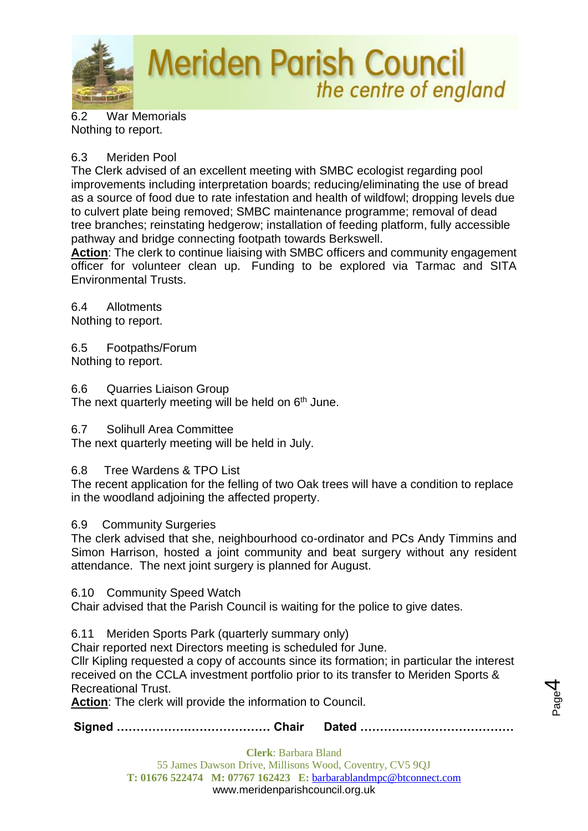

6.2 War Memorials Nothing to report.

# 6.3 Meriden Pool

The Clerk advised of an excellent meeting with SMBC ecologist regarding pool improvements including interpretation boards; reducing/eliminating the use of bread as a source of food due to rate infestation and health of wildfowl; dropping levels due to culvert plate being removed; SMBC maintenance programme; removal of dead tree branches; reinstating hedgerow; installation of feeding platform, fully accessible pathway and bridge connecting footpath towards Berkswell.

**Action**: The clerk to continue liaising with SMBC officers and community engagement officer for volunteer clean up. Funding to be explored via Tarmac and SITA Environmental Trusts.

6.4 Allotments Nothing to report.

6.5 Footpaths/Forum Nothing to report.

6.6 Quarries Liaison Group

The next quarterly meeting will be held on 6<sup>th</sup> June.

6.7 Solihull Area Committee

The next quarterly meeting will be held in July.

### 6.8 Tree Wardens & TPO List

The recent application for the felling of two Oak trees will have a condition to replace in the woodland adjoining the affected property.

### 6.9 Community Surgeries

The clerk advised that she, neighbourhood co-ordinator and PCs Andy Timmins and Simon Harrison, hosted a joint community and beat surgery without any resident attendance. The next joint surgery is planned for August.

6.10 Community Speed Watch

Chair advised that the Parish Council is waiting for the police to give dates.

6.11 Meriden Sports Park (quarterly summary only)

Chair reported next Directors meeting is scheduled for June.

Cllr Kipling requested a copy of accounts since its formation; in particular the interest received on the CCLA investment portfolio prior to its transfer to Meriden Sports & Recreational Trust.

**Action**: The clerk will provide the information to Council.

**Signed ………………………………… Chair Dated …………………………………**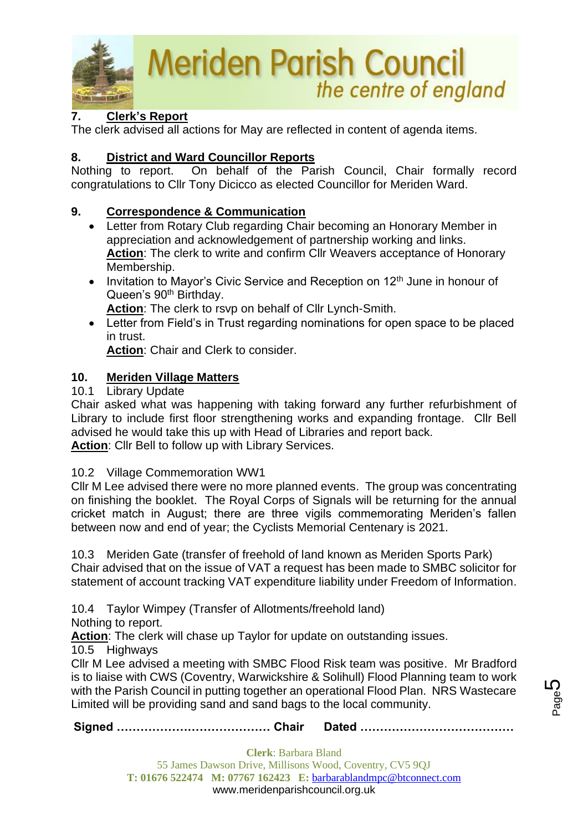

# **7. Clerk's Report**

The clerk advised all actions for May are reflected in content of agenda items.

# **8. District and Ward Councillor Reports**

Nothing to report. On behalf of the Parish Council, Chair formally record congratulations to Cllr Tony Dicicco as elected Councillor for Meriden Ward.

# **9. Correspondence & Communication**

- Letter from Rotary Club regarding Chair becoming an Honorary Member in appreciation and acknowledgement of partnership working and links. **Action**: The clerk to write and confirm Cllr Weavers acceptance of Honorary Membership.
- Invitation to Mayor's Civic Service and Reception on  $12<sup>th</sup>$  June in honour of Queen's 90<sup>th</sup> Birthday.

**Action**: The clerk to rsvp on behalf of Cllr Lynch-Smith.

• Letter from Field's in Trust regarding nominations for open space to be placed in trust.

**Action**: Chair and Clerk to consider.

# **10. Meriden Village Matters**

### 10.1 Library Update

Chair asked what was happening with taking forward any further refurbishment of Library to include first floor strengthening works and expanding frontage. Cllr Bell advised he would take this up with Head of Libraries and report back. **Action**: Cllr Bell to follow up with Library Services.

10.2 Village Commemoration WW1

Cllr M Lee advised there were no more planned events. The group was concentrating on finishing the booklet. The Royal Corps of Signals will be returning for the annual cricket match in August; there are three vigils commemorating Meriden's fallen between now and end of year; the Cyclists Memorial Centenary is 2021.

10.3 Meriden Gate (transfer of freehold of land known as Meriden Sports Park) Chair advised that on the issue of VAT a request has been made to SMBC solicitor for statement of account tracking VAT expenditure liability under Freedom of Information.

10.4 Taylor Wimpey (Transfer of Allotments/freehold land)

Nothing to report.

**Action**: The clerk will chase up Taylor for update on outstanding issues.

10.5 Highways

Cllr M Lee advised a meeting with SMBC Flood Risk team was positive. Mr Bradford is to liaise with CWS (Coventry, Warwickshire & Solihull) Flood Planning team to work with the Parish Council in putting together an operational Flood Plan. NRS Wastecare Limited will be providing sand and sand bags to the local community.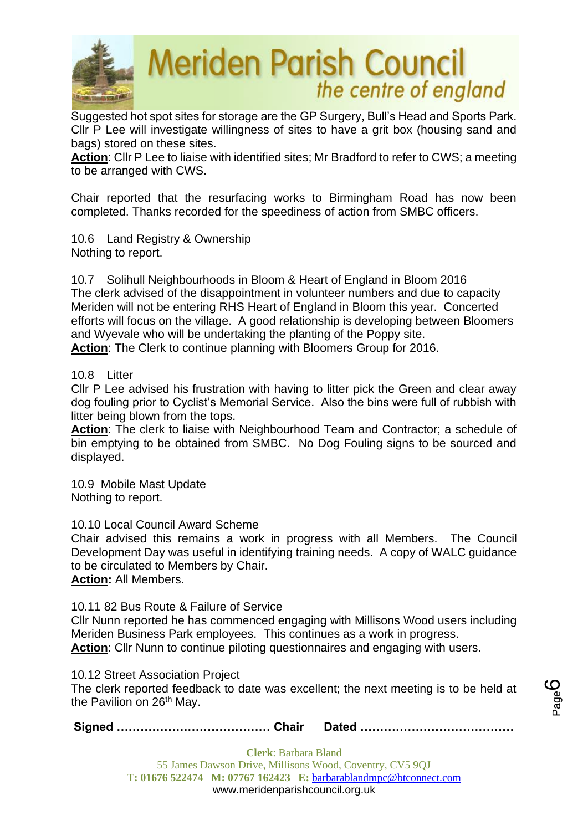

Suggested hot spot sites for storage are the GP Surgery, Bull's Head and Sports Park. Cllr P Lee will investigate willingness of sites to have a grit box (housing sand and bags) stored on these sites.

**Action**: Cllr P Lee to liaise with identified sites; Mr Bradford to refer to CWS; a meeting to be arranged with CWS.

Chair reported that the resurfacing works to Birmingham Road has now been completed. Thanks recorded for the speediness of action from SMBC officers.

10.6 Land Registry & Ownership Nothing to report.

10.7 Solihull Neighbourhoods in Bloom & Heart of England in Bloom 2016 The clerk advised of the disappointment in volunteer numbers and due to capacity Meriden will not be entering RHS Heart of England in Bloom this year. Concerted efforts will focus on the village. A good relationship is developing between Bloomers and Wyevale who will be undertaking the planting of the Poppy site.

**Action**: The Clerk to continue planning with Bloomers Group for 2016.

### 10.8 Litter

Cllr P Lee advised his frustration with having to litter pick the Green and clear away dog fouling prior to Cyclist's Memorial Service. Also the bins were full of rubbish with litter being blown from the tops.

**Action**: The clerk to liaise with Neighbourhood Team and Contractor; a schedule of bin emptying to be obtained from SMBC. No Dog Fouling signs to be sourced and displayed.

10.9 Mobile Mast Update Nothing to report.

10.10 Local Council Award Scheme

Chair advised this remains a work in progress with all Members. The Council Development Day was useful in identifying training needs. A copy of WALC guidance to be circulated to Members by Chair.

**Action:** All Members.

10.11 82 Bus Route & Failure of Service

Cllr Nunn reported he has commenced engaging with Millisons Wood users including Meriden Business Park employees. This continues as a work in progress. **Action**: Cllr Nunn to continue piloting questionnaires and engaging with users.

10.12 Street Association Project

The clerk reported feedback to date was excellent; the next meeting is to be held at the Pavilion on 26<sup>th</sup> May.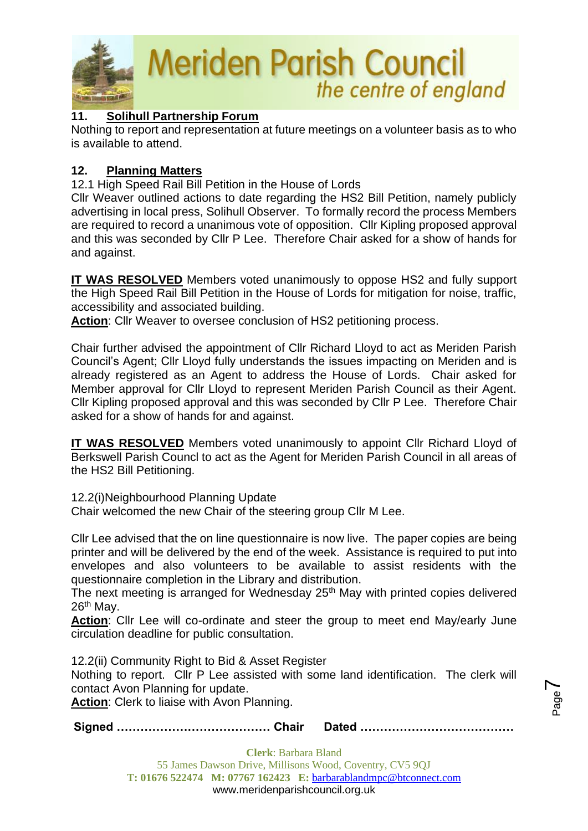

# **11. Solihull Partnership Forum**

Nothing to report and representation at future meetings on a volunteer basis as to who is available to attend.

# **12. Planning Matters**

12.1 High Speed Rail Bill Petition in the House of Lords

Cllr Weaver outlined actions to date regarding the HS2 Bill Petition, namely publicly advertising in local press, Solihull Observer. To formally record the process Members are required to record a unanimous vote of opposition. Cllr Kipling proposed approval and this was seconded by Cllr P Lee. Therefore Chair asked for a show of hands for and against.

**IT WAS RESOLVED** Members voted unanimously to oppose HS2 and fully support the High Speed Rail Bill Petition in the House of Lords for mitigation for noise, traffic, accessibility and associated building.

**Action**: Cllr Weaver to oversee conclusion of HS2 petitioning process.

Chair further advised the appointment of Cllr Richard Lloyd to act as Meriden Parish Council's Agent; Cllr Lloyd fully understands the issues impacting on Meriden and is already registered as an Agent to address the House of Lords. Chair asked for Member approval for Cllr Lloyd to represent Meriden Parish Council as their Agent. Cllr Kipling proposed approval and this was seconded by Cllr P Lee. Therefore Chair asked for a show of hands for and against.

**IT WAS RESOLVED** Members voted unanimously to appoint Cllr Richard Lloyd of Berkswell Parish Councl to act as the Agent for Meriden Parish Council in all areas of the HS2 Bill Petitioning.

12.2(i)Neighbourhood Planning Update

Chair welcomed the new Chair of the steering group Cllr M Lee.

Cllr Lee advised that the on line questionnaire is now live. The paper copies are being printer and will be delivered by the end of the week. Assistance is required to put into envelopes and also volunteers to be available to assist residents with the questionnaire completion in the Library and distribution.

The next meeting is arranged for Wednesday 25<sup>th</sup> May with printed copies delivered 26<sup>th</sup> May.

**Action**: Cllr Lee will co-ordinate and steer the group to meet end May/early June circulation deadline for public consultation.

12.2(ii) Community Right to Bid & Asset Register Nothing to report. Cllr P Lee assisted with some land identification. The clerk will contact Avon Planning for update. **Action**: Clerk to liaise with Avon Planning.

Page  $\blacktriangleright$ 

**Signed ………………………………… Chair Dated …………………………………**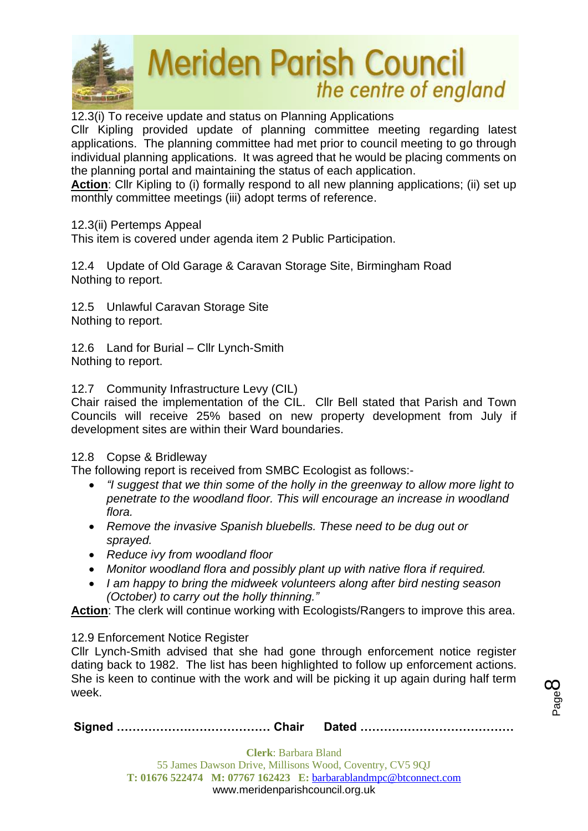

12.3(i) To receive update and status on Planning Applications

Cllr Kipling provided update of planning committee meeting regarding latest applications. The planning committee had met prior to council meeting to go through individual planning applications. It was agreed that he would be placing comments on the planning portal and maintaining the status of each application.

**Action**: Cllr Kipling to (i) formally respond to all new planning applications; (ii) set up monthly committee meetings (iii) adopt terms of reference.

### 12.3(ii) Pertemps Appeal

This item is covered under agenda item 2 Public Participation.

12.4 Update of Old Garage & Caravan Storage Site, Birmingham Road Nothing to report.

12.5 Unlawful Caravan Storage Site Nothing to report.

12.6 Land for Burial – Cllr Lynch-Smith Nothing to report.

#### 12.7 Community Infrastructure Levy (CIL)

Chair raised the implementation of the CIL. Cllr Bell stated that Parish and Town Councils will receive 25% based on new property development from July if development sites are within their Ward boundaries.

### 12.8 Copse & Bridleway

The following report is received from SMBC Ecologist as follows:-

- *"I suggest that we thin some of the holly in the greenway to allow more light to penetrate to the woodland floor. This will encourage an increase in woodland flora.*
- *Remove the invasive Spanish bluebells. These need to be dug out or sprayed.*
- *Reduce ivy from woodland floor*
- *Monitor woodland flora and possibly plant up with native flora if required.*
- *I am happy to bring the midweek volunteers along after bird nesting season (October) to carry out the holly thinning."*

**Action**: The clerk will continue working with Ecologists/Rangers to improve this area.

### 12.9 Enforcement Notice Register

Cllr Lynch-Smith advised that she had gone through enforcement notice register dating back to 1982. The list has been highlighted to follow up enforcement actions. She is keen to continue with the work and will be picking it up again during half term week.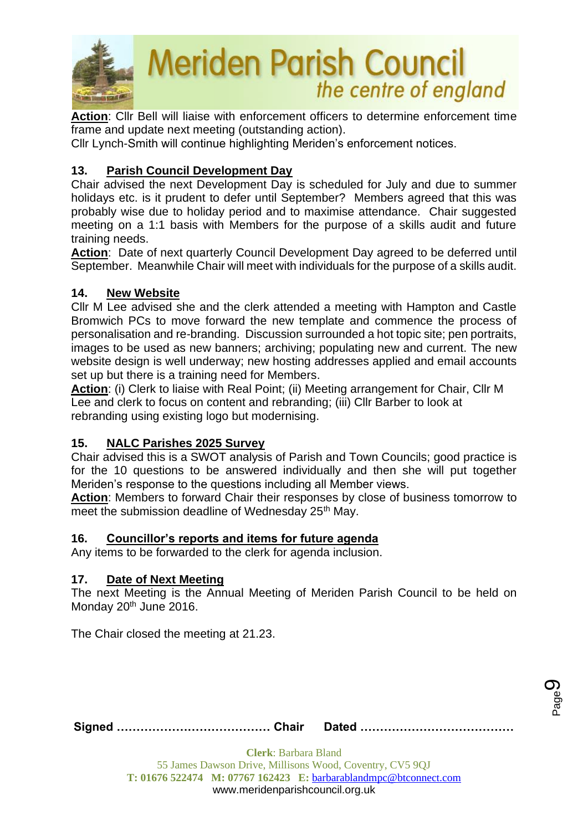

**Action**: Cllr Bell will liaise with enforcement officers to determine enforcement time frame and update next meeting (outstanding action).

Cllr Lynch-Smith will continue highlighting Meriden's enforcement notices.

# **13. Parish Council Development Day**

Chair advised the next Development Day is scheduled for July and due to summer holidays etc. is it prudent to defer until September? Members agreed that this was probably wise due to holiday period and to maximise attendance. Chair suggested meeting on a 1:1 basis with Members for the purpose of a skills audit and future training needs.

**Action**: Date of next quarterly Council Development Day agreed to be deferred until September. Meanwhile Chair will meet with individuals for the purpose of a skills audit.

# **14. New Website**

Cllr M Lee advised she and the clerk attended a meeting with Hampton and Castle Bromwich PCs to move forward the new template and commence the process of personalisation and re-branding. Discussion surrounded a hot topic site; pen portraits, images to be used as new banners; archiving; populating new and current. The new website design is well underway; new hosting addresses applied and email accounts set up but there is a training need for Members.

**Action**: (i) Clerk to liaise with Real Point; (ii) Meeting arrangement for Chair, Cllr M Lee and clerk to focus on content and rebranding; (iii) Cllr Barber to look at rebranding using existing logo but modernising.

# **15. NALC Parishes 2025 Survey**

Chair advised this is a SWOT analysis of Parish and Town Councils; good practice is for the 10 questions to be answered individually and then she will put together Meriden's response to the questions including all Member views.

**Action**: Members to forward Chair their responses by close of business tomorrow to meet the submission deadline of Wednesday 25<sup>th</sup> May.

# **16. Councillor's reports and items for future agenda**

Any items to be forwarded to the clerk for agenda inclusion.

### **17. Date of Next Meeting**

The next Meeting is the Annual Meeting of Meriden Parish Council to be held on Monday 20<sup>th</sup> June 2016.

The Chair closed the meeting at 21.23.

Page ග

**Signed ………………………………… Chair Dated …………………………………**